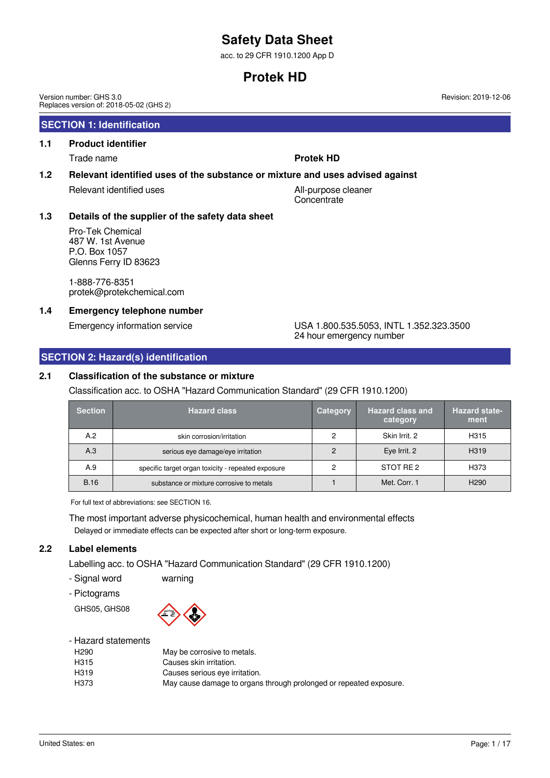acc. to 29 CFR 1910.1200 App D

# **Protek HD**

Version number: GHS 3.0 Replaces version of: 2018-05-02 (GHS 2)

## **SECTION 1: Identification**

# **1.1 Product identifier**

Trade name **Protek HD**

### **1.2 Relevant identified uses of the substance or mixture and uses advised against**

Relevant identified uses All-purpose cleaner

**Concentrate** 

## **1.3 Details of the supplier of the safety data sheet**

Pro-Tek Chemical 487 W. 1st Avenue P.O. Box 1057 Glenns Ferry ID 83623

1-888-776-8351 protek@protekchemical.com

## **1.4 Emergency telephone number**

### Emergency information service USA 1.800.535.5053, INTL 1.352.323.3500 24 hour emergency number

## **SECTION 2: Hazard(s) identification**

### **2.1 Classification of the substance or mixture**

## Classification acc. to OSHA "Hazard Communication Standard" (29 CFR 1910.1200)

| <b>Section</b> | <b>Hazard class</b>                                | <b>Category</b> | <b>Hazard class and</b><br>category | <b>Hazard state-</b><br>ment |
|----------------|----------------------------------------------------|-----------------|-------------------------------------|------------------------------|
| A.2            | skin corrosion/irritation                          | っ               | Skin Irrit, 2                       | H <sub>315</sub>             |
| A.3            | serious eye damage/eye irritation                  |                 | Eye Irrit. 2                        | H <sub>3</sub> 19            |
| A.9            | specific target organ toxicity - repeated exposure | າ               | STOT RE 2                           | H373                         |
| <b>B.16</b>    | substance or mixture corrosive to metals           |                 | Met. Corr. 1                        | H <sub>290</sub>             |

For full text of abbreviations: see SECTION 16.

The most important adverse physicochemical, human health and environmental effects Delayed or immediate effects can be expected after short or long-term exposure.

## **2.2 Label elements**

Labelling acc. to OSHA "Hazard Communication Standard" (29 CFR 1910.1200)

- Signal word warning

- Pictograms

GHS05, GHS08



### - Hazard statements

| H <sub>290</sub>  | May be corrosive to metals.                                        |
|-------------------|--------------------------------------------------------------------|
| H315              | Causes skin irritation.                                            |
| H <sub>3</sub> 19 | Causes serious eye irritation.                                     |
| H373              | May cause damage to organs through prolonged or repeated exposure. |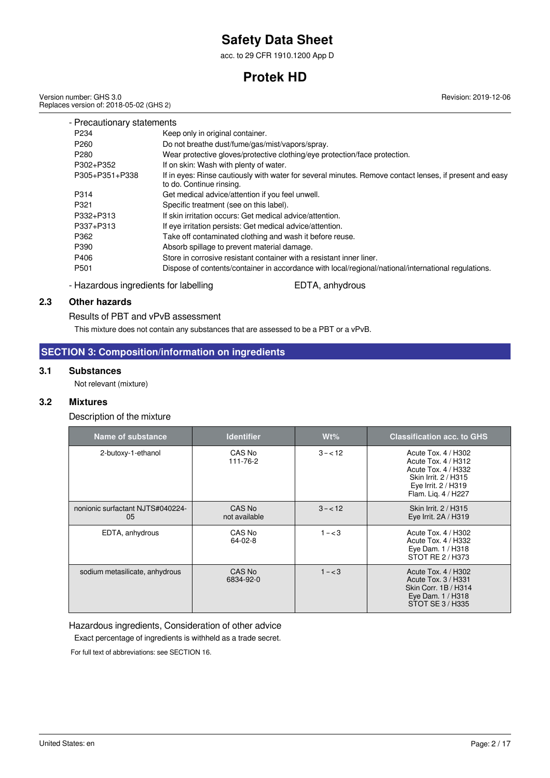acc. to 29 CFR 1910.1200 App D

# **Protek HD**

Version number: GHS 3.0 Replaces version of: 2018-05-02 (GHS 2) Revision: 2019-12-06

| - Precautionary statements |                                                                                                                                     |
|----------------------------|-------------------------------------------------------------------------------------------------------------------------------------|
| P <sub>234</sub>           | Keep only in original container.                                                                                                    |
| P <sub>260</sub>           | Do not breathe dust/fume/gas/mist/vapors/spray.                                                                                     |
| P <sub>280</sub>           | Wear protective gloves/protective clothing/eye protection/face protection.                                                          |
| P302+P352                  | If on skin: Wash with plenty of water.                                                                                              |
| P305+P351+P338             | If in eyes: Rinse cautiously with water for several minutes. Remove contact lenses, if present and easy<br>to do. Continue rinsing. |
| P314                       | Get medical advice/attention if you feel unwell.                                                                                    |
| P321                       | Specific treatment (see on this label).                                                                                             |
| P332+P313                  | If skin irritation occurs: Get medical advice/attention.                                                                            |
| P337+P313                  | If eye irritation persists: Get medical advice/attention.                                                                           |
| P362                       | Take off contaminated clothing and wash it before reuse.                                                                            |
| P390                       | Absorb spillage to prevent material damage.                                                                                         |
| P406                       | Store in corrosive resistant container with a resistant inner liner.                                                                |
| P <sub>501</sub>           | Dispose of contents/container in accordance with local/regional/national/international regulations.                                 |

- Hazardous ingredients for labelling EDTA, anhydrous

## **2.3 Other hazards**

### Results of PBT and vPvB assessment

This mixture does not contain any substances that are assessed to be a PBT or a vPvB.

## **SECTION 3: Composition/information on ingredients**

### **3.1 Substances**

Not relevant (mixture)

### **3.2 Mixtures**

Description of the mixture

| Name of substance                      | <b>Identifier</b>       | $Wt\%$    | <b>Classification acc. to GHS</b>                                                                                                       |
|----------------------------------------|-------------------------|-----------|-----------------------------------------------------------------------------------------------------------------------------------------|
| 2-butoxy-1-ethanol                     | CAS No<br>111-76-2      | $3 - 12$  | Acute Tox. 4 / H302<br>Acute Tox. 4 / H312<br>Acute Tox. 4 / H332<br>Skin Irrit. 2 / H315<br>Eye Irrit. 2 / H319<br>Flam. Lig. 4 / H227 |
| nonionic surfactant NJTS#040224-<br>05 | CAS No<br>not available | $3 - 12$  | Skin Irrit. 2 / H315<br>Eye Irrit. 2A / H319                                                                                            |
| EDTA, anhydrous                        | CAS No<br>$64 - 02 - 8$ | $1 - < 3$ | Acute Tox. 4 / H302<br>Acute Tox. 4 / H332<br>Eye Dam. 1 / H318<br>STOT RE 2 / H373                                                     |
| sodium metasilicate, anhydrous         | CAS No<br>6834-92-0     | $1 - < 3$ | Acute Tox. 4 / H302<br>Acute Tox, 3 / H331<br>Skin Corr. 1B / H314<br>Eye Dam. 1 / H318<br>STOT SE 3 / H335                             |

Hazardous ingredients, Consideration of other advice

Exact percentage of ingredients is withheld as a trade secret.

For full text of abbreviations: see SECTION 16.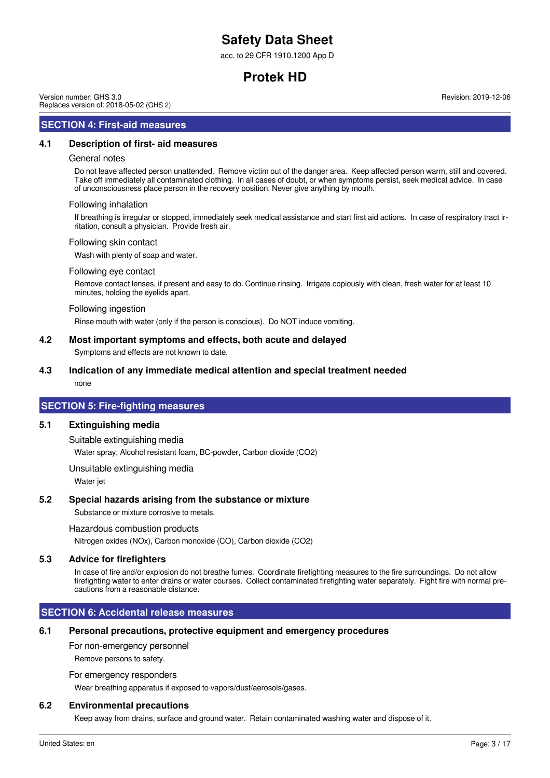acc. to 29 CFR 1910.1200 App D

# **Protek HD**

Version number: GHS 3.0 Replaces version of: 2018-05-02 (GHS 2)

## **SECTION 4: First-aid measures**

### **4.1 Description of first- aid measures**

#### General notes

Do not leave affected person unattended. Remove victim out of the danger area. Keep affected person warm, still and covered. Take off immediately all contaminated clothing. In all cases of doubt, or when symptoms persist, seek medical advice. In case of unconsciousness place person in the recovery position. Never give anything by mouth.

#### Following inhalation

If breathing is irregular or stopped, immediately seek medical assistance and start first aid actions. In case of respiratory tract irritation, consult a physician. Provide fresh air.

#### Following skin contact

Wash with plenty of soap and water.

#### Following eye contact

Remove contact lenses, if present and easy to do. Continue rinsing. Irrigate copiously with clean, fresh water for at least 10 minutes, holding the eyelids apart.

#### Following ingestion

Rinse mouth with water (only if the person is conscious). Do NOT induce vomiting.

#### **4.2 Most important symptoms and effects, both acute and delayed**

Symptoms and effects are not known to date.

#### **4.3 Indication of any immediate medical attention and special treatment needed**

none

## **SECTION 5: Fire-fighting measures**

#### **5.1 Extinguishing media**

Suitable extinguishing media

Water spray, Alcohol resistant foam, BC-powder, Carbon dioxide (CO2)

Unsuitable extinguishing media

Water jet

#### **5.2 Special hazards arising from the substance or mixture**

Substance or mixture corrosive to metals.

Hazardous combustion products

Nitrogen oxides (NOx), Carbon monoxide (CO), Carbon dioxide (CO2)

#### **5.3 Advice for firefighters**

In case of fire and/or explosion do not breathe fumes. Coordinate firefighting measures to the fire surroundings. Do not allow firefighting water to enter drains or water courses. Collect contaminated firefighting water separately. Fight fire with normal precautions from a reasonable distance.

## **SECTION 6: Accidental release measures**

### **6.1 Personal precautions, protective equipment and emergency procedures**

For non-emergency personnel

Remove persons to safety.

For emergency responders

Wear breathing apparatus if exposed to vapors/dust/aerosols/gases.

#### **6.2 Environmental precautions**

Keep away from drains, surface and ground water. Retain contaminated washing water and dispose of it.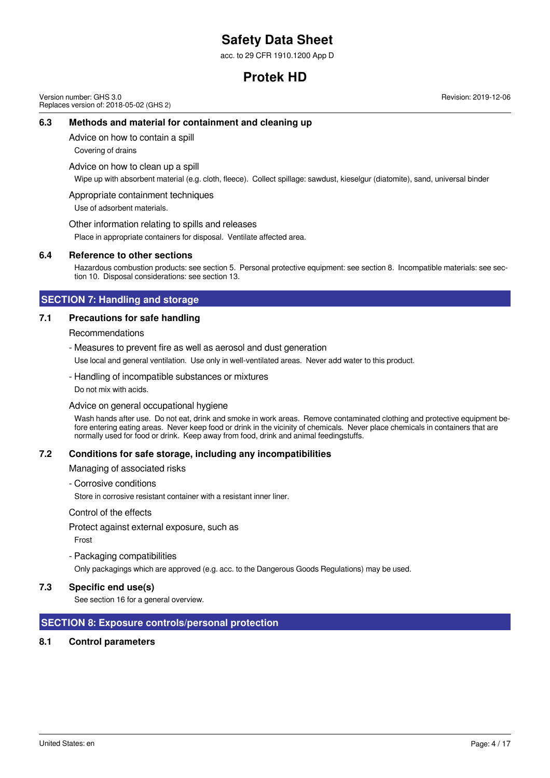acc. to 29 CFR 1910.1200 App D

# **Protek HD**

Version number: GHS 3.0 Replaces version of: 2018-05-02 (GHS 2) Revision: 2019-12-06

### **6.3 Methods and material for containment and cleaning up**

Advice on how to contain a spill

Covering of drains

Advice on how to clean up a spill

Wipe up with absorbent material (e.g. cloth, fleece). Collect spillage: sawdust, kieselgur (diatomite), sand, universal binder

Appropriate containment techniques

Use of adsorbent materials.

Other information relating to spills and releases

Place in appropriate containers for disposal. Ventilate affected area.

#### **6.4 Reference to other sections**

Hazardous combustion products: see section 5. Personal protective equipment: see section 8. Incompatible materials: see section 10. Disposal considerations: see section 13.

### **SECTION 7: Handling and storage**

### **7.1 Precautions for safe handling**

Recommendations

- Measures to prevent fire as well as aerosol and dust generation

Use local and general ventilation. Use only in well-ventilated areas. Never add water to this product.

- Handling of incompatible substances or mixtures

Do not mix with acids.

#### Advice on general occupational hygiene

Wash hands after use. Do not eat, drink and smoke in work areas. Remove contaminated clothing and protective equipment before entering eating areas. Never keep food or drink in the vicinity of chemicals. Never place chemicals in containers that are normally used for food or drink. Keep away from food, drink and animal feedingstuffs.

#### **7.2 Conditions for safe storage, including any incompatibilities**

Managing of associated risks

- Corrosive conditions

Store in corrosive resistant container with a resistant inner liner.

Control of the effects

Protect against external exposure, such as

Frost

- Packaging compatibilities

Only packagings which are approved (e.g. acc. to the Dangerous Goods Regulations) may be used.

#### **7.3 Specific end use(s)**

See section 16 for a general overview.

### **SECTION 8: Exposure controls/personal protection**

### **8.1 Control parameters**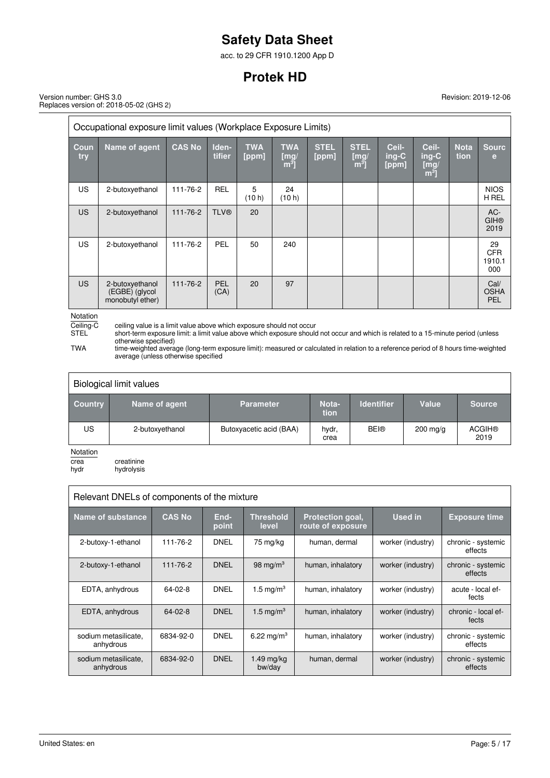acc. to 29 CFR 1910.1200 App D

# **Protek HD**

Version number: GHS 3.0 Replaces version of: 2018-05-02 (GHS 2)

| Occupational exposure limit values (Workplace Exposure Limits) |                                                       |               |                 |                     |                                      |                      |                                       |                           |                                            |                     |                                   |
|----------------------------------------------------------------|-------------------------------------------------------|---------------|-----------------|---------------------|--------------------------------------|----------------------|---------------------------------------|---------------------------|--------------------------------------------|---------------------|-----------------------------------|
| Coun<br>try                                                    | Name of agent                                         | <b>CAS No</b> | Iden-<br>tifier | <b>TWA</b><br>[ppm] | <b>TWA</b><br>[mg]<br>m <sup>3</sup> | <b>STEL</b><br>[ppm] | <b>STEL</b><br>[mg]<br>m <sup>3</sup> | Ceil-<br>$inq-C$<br>[ppm] | Ceil-<br>$ing-C$<br>[mg/<br>m <sup>3</sup> | <b>Nota</b><br>tion | <b>Sourc</b><br>е                 |
| <b>US</b>                                                      | 2-butoxyethanol                                       | 111-76-2      | <b>REL</b>      | 5<br>(10 h)         | 24<br>(10 h)                         |                      |                                       |                           |                                            |                     | <b>NIOS</b><br>H REL              |
| <b>US</b>                                                      | 2-butoxyethanol                                       | 111-76-2      | <b>TLV®</b>     | 20                  |                                      |                      |                                       |                           |                                            |                     | AC-<br><b>GIH®</b><br>2019        |
| <b>US</b>                                                      | 2-butoxyethanol                                       | 111-76-2      | PEL             | 50                  | 240                                  |                      |                                       |                           |                                            |                     | 29<br><b>CFR</b><br>1910.1<br>000 |
| US.                                                            | 2-butoxyethanol<br>(EGBE) (glycol<br>monobutyl ether) | 111-76-2      | PEL<br>(CA)     | 20                  | 97                                   |                      |                                       |                           |                                            |                     | Cal/<br><b>OSHA</b><br>PEL        |

Notation<br>Ceiling-C<br>STEL

Ceiling-C ceiling value is a limit value above which exposure should not occur

STEL short-term exposure limit: a limit value above which exposure should not occur and which is related to a 15-minute period (unless otherwise specified)

TWA time-weighted average (long-term exposure limit): measured or calculated in relation to a reference period of 8 hours time-weighted average (unless otherwise specified

| Biological limit values |                 |                         |               |                   |                    |                       |
|-------------------------|-----------------|-------------------------|---------------|-------------------|--------------------|-----------------------|
| <b>Country</b>          | Name of agent   | <b>Parameter</b>        | Nota-<br>tion | <b>Identifier</b> | Value              | <b>Source</b>         |
| <b>US</b>               | 2-butoxyethanol | Butoxyacetic acid (BAA) | hydr,<br>crea | <b>BEI®</b>       | $200 \text{ mg/g}$ | <b>ACGIH®</b><br>2019 |
| <b>Notation</b>         |                 |                         |               |                   |                    |                       |

Notation

crea creatinine<br>hydr hydrolysis hydrolysis

| Relevant DNELs of components of the mixture |                |               |                           |                                              |                   |                               |
|---------------------------------------------|----------------|---------------|---------------------------|----------------------------------------------|-------------------|-------------------------------|
| Name of substance                           | <b>CAS No.</b> | End-<br>point | <b>Threshold</b><br>level | <b>Protection goal,</b><br>route of exposure | Used in           | <b>Exposure time</b>          |
| 2-butoxy-1-ethanol                          | 111-76-2       | <b>DNEL</b>   | 75 mg/kg                  | human, dermal                                | worker (industry) | chronic - systemic<br>effects |
| 2-butoxy-1-ethanol                          | 111-76-2       | <b>DNEL</b>   | 98 mg/m <sup>3</sup>      | human, inhalatory                            | worker (industry) | chronic - systemic<br>effects |
| EDTA, anhydrous                             | 64-02-8        | <b>DNEL</b>   | 1.5 mg/m <sup>3</sup>     | human, inhalatory                            | worker (industry) | acute - local ef-<br>fects    |
| EDTA, anhydrous                             | $64 - 02 - 8$  | <b>DNEL</b>   | 1.5 mg/m <sup>3</sup>     | human, inhalatory                            | worker (industry) | chronic - local ef-<br>fects  |
| sodium metasilicate,<br>anhydrous           | 6834-92-0      | <b>DNEL</b>   | 6.22 mg/m <sup>3</sup>    | human, inhalatory                            | worker (industry) | chronic - systemic<br>effects |
| sodium metasilicate,<br>anhydrous           | 6834-92-0      | <b>DNEL</b>   | $1.49$ mg/kg<br>bw/day    | human, dermal                                | worker (industry) | chronic - systemic<br>effects |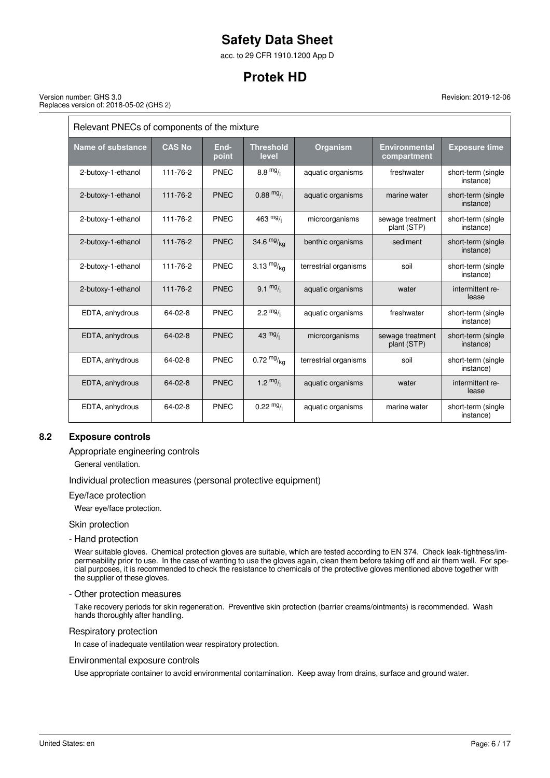acc. to 29 CFR 1910.1200 App D

# **Protek HD**

Version number: GHS 3.0 Replaces version of: 2018-05-02 (GHS 2)

> Relevant PNECs of components of the mixture Name of substance CAS No End**point Threshold level Organism Environmental compartment Exposure time** 2-butoxy-1-ethanol 111-76-2 PNEC 8.8 mg/<sub>l</sub> aquatic organisms freshwater short-term (single instance) 2-butoxy-1-ethanol 111-76-2 PNEC 0.88  $mg/$  aquatic organisms marine water short-term (single instance) 2-butoxy-1-ethanol 111-76-2 PNEC 463 $^{mg}/l$  microorganisms sewage treatment plant (STP) short-term (single instance) 2-butoxy-1-ethanol 111-76-2 PNEC  $34.6 \frac{mg}{kq}$  benthic organisms sediment short-term (single instance) 2-butoxy-1-ethanol 111-76-2 PNEC  $3.13 \frac{mg}{kq}$  terrestrial organisms soil short-term (single instance) 2-butoxy-1-ethanol 111-76-2 PNEC 9.1  $mg/$  aquatic organisms water intermittent release EDTA, anhydrous 64-02-8 PNEC 2.2  $mg$  aquatic organisms freshwater short-term (single instance) EDTA, anhydrous  $\begin{vmatrix} 64-02-8 \end{vmatrix}$  PNEC  $\begin{vmatrix} 43 \text{ mg/} \end{vmatrix}$  microorganisms sewage treatment plant (STP) short-term (single instance) EDTA, anhydrous  $\begin{vmatrix} 64-02-8 \end{vmatrix}$  PNEC  $\begin{vmatrix} 0.72 \text{ m}g_{kq} \end{vmatrix}$  terrestrial organisms  $\begin{vmatrix}$  soil  $\end{vmatrix}$  short-term (single instance) EDTA, anhydrous 64-02-8 PNEC 1.2  $^{mg}/\hbar$  aquatic organisms water intermittent release EDTA, anhydrous 64-02-8 PNEC 0.22  $mg$ / aquatic organisms marine water short-term (single instance)

## **8.2 Exposure controls**

Appropriate engineering controls

General ventilation.

Individual protection measures (personal protective equipment)

Eye/face protection

Wear eye/face protection.

Skin protection

- Hand protection

Wear suitable gloves. Chemical protection gloves are suitable, which are tested according to EN 374. Check leak-tightness/impermeability prior to use. In the case of wanting to use the gloves again, clean them before taking off and air them well. For special purposes, it is recommended to check the resistance to chemicals of the protective gloves mentioned above together with the supplier of these gloves.

- Other protection measures

Take recovery periods for skin regeneration. Preventive skin protection (barrier creams/ointments) is recommended. Wash hands thoroughly after handling.

Respiratory protection

In case of inadequate ventilation wear respiratory protection.

#### Environmental exposure controls

Use appropriate container to avoid environmental contamination. Keep away from drains, surface and ground water.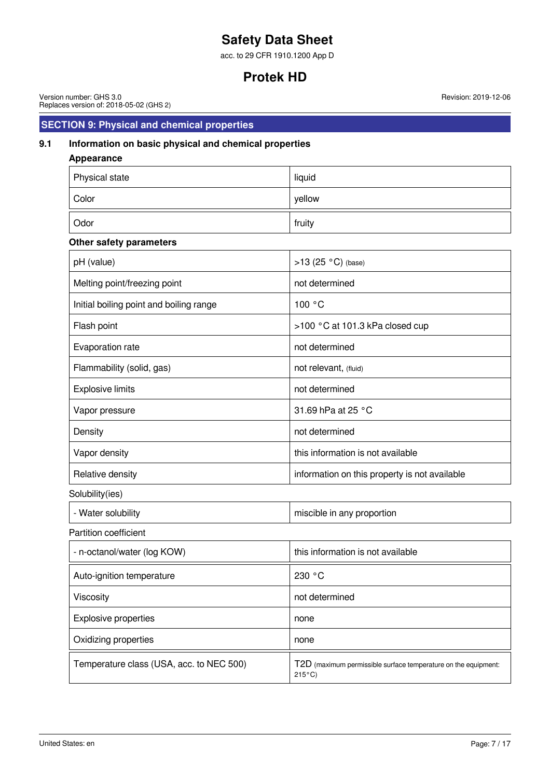acc. to 29 CFR 1910.1200 App D

# **Protek HD**

Version number: GHS 3.0 Replaces version of: 2018-05-02 (GHS 2)

# **SECTION 9: Physical and chemical properties**

## **9.1 Information on basic physical and chemical properties**

| <b>Appearance</b>                        |                                                                |
|------------------------------------------|----------------------------------------------------------------|
| Physical state                           | liquid                                                         |
| Color                                    | yellow                                                         |
| Odor                                     | fruity                                                         |
| Other safety parameters                  |                                                                |
| pH (value)                               | >13 (25 °C) (base)                                             |
| Melting point/freezing point             | not determined                                                 |
| Initial boiling point and boiling range  | 100 °C                                                         |
| Flash point                              | >100 °C at 101.3 kPa closed cup                                |
| Evaporation rate                         | not determined                                                 |
| Flammability (solid, gas)                | not relevant, (fluid)                                          |
| <b>Explosive limits</b>                  | not determined                                                 |
| Vapor pressure                           | 31.69 hPa at 25 °C                                             |
| Density                                  | not determined                                                 |
| Vapor density                            | this information is not available                              |
| Relative density                         | information on this property is not available                  |
| Solubility(ies)                          |                                                                |
| - Water solubility                       | miscible in any proportion                                     |
| <b>Partition coefficient</b>             |                                                                |
| - n-octanol/water (log KOW)              | this information is not available                              |
| Auto-ignition temperature                | 230 °C                                                         |
| Viscosity                                | not determined                                                 |
| <b>Explosive properties</b>              | none                                                           |
| Oxidizing properties                     | none                                                           |
| Temperature class (USA, acc. to NEC 500) | T2D (maximum permissible surface temperature on the equipment: |

215°C)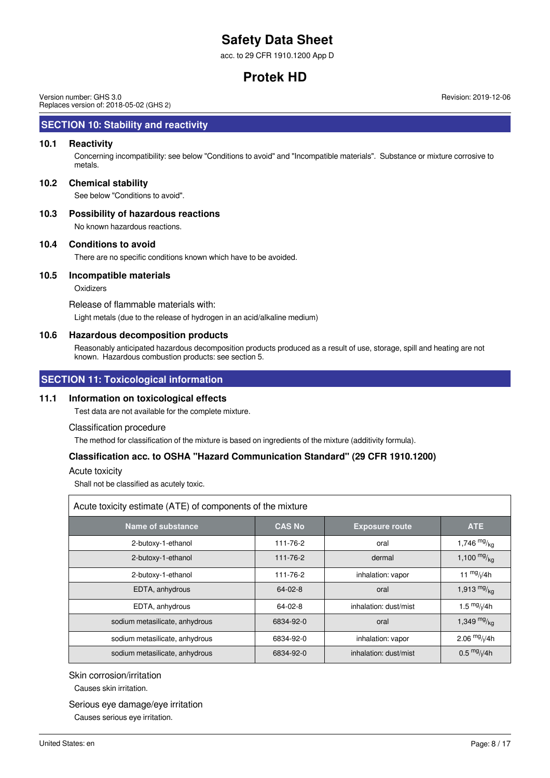acc. to 29 CFR 1910.1200 App D

# **Protek HD**

Version number: GHS 3.0 Replaces version of: 2018-05-02 (GHS 2)

### **SECTION 10: Stability and reactivity**

### **10.1 Reactivity**

Concerning incompatibility: see below "Conditions to avoid" and "Incompatible materials". Substance or mixture corrosive to metals.

#### **10.2 Chemical stability**

See below "Conditions to avoid".

#### **10.3 Possibility of hazardous reactions**

No known hazardous reactions.

#### **10.4 Conditions to avoid**

There are no specific conditions known which have to be avoided.

#### **10.5 Incompatible materials**

**Oxidizers** 

Release of flammable materials with:

Light metals (due to the release of hydrogen in an acid/alkaline medium)

#### **10.6 Hazardous decomposition products**

Reasonably anticipated hazardous decomposition products produced as a result of use, storage, spill and heating are not known. Hazardous combustion products: see section 5.

## **SECTION 11: Toxicological information**

#### **11.1 Information on toxicological effects**

Test data are not available for the complete mixture.

#### Classification procedure

The method for classification of the mixture is based on ingredients of the mixture (additivity formula).

### **Classification acc. to OSHA "Hazard Communication Standard" (29 CFR 1910.1200)**

Acute toxicity

Shall not be classified as acutely toxic.

| Acute toxicity estimate (ATE) of components of the mixture |               |                       |                         |  |  |
|------------------------------------------------------------|---------------|-----------------------|-------------------------|--|--|
| Name of substance                                          | <b>CAS No</b> | <b>Exposure route</b> | ATE                     |  |  |
| 2-butoxy-1-ethanol                                         | 111-76-2      | oral                  | 1,746 $mg/_{kg}$        |  |  |
| 2-butoxy-1-ethanol                                         | 111-76-2      | dermal                | 1,100 $mg/kq$           |  |  |
| 2-butoxy-1-ethanol                                         | 111-76-2      | inhalation: vapor     | 11 $\frac{mg}{l}$ /4h   |  |  |
| EDTA, anhydrous                                            | $64 - 02 - 8$ | oral                  | 1,913 $mg/kq$           |  |  |
| EDTA, anhydrous                                            | 64-02-8       | inhalation: dust/mist | 1.5 $mg/1/4h$           |  |  |
| sodium metasilicate, anhydrous                             | 6834-92-0     | oral                  | 1,349 $mg/kq$           |  |  |
| sodium metasilicate, anhydrous                             | 6834-92-0     | inhalation: vapor     | 2.06 $mg/1/4h$          |  |  |
| sodium metasilicate, anhydrous                             | 6834-92-0     | inhalation: dust/mist | $0.5 \frac{mg}{l}$ //4h |  |  |

### Skin corrosion/irritation

Causes skin irritation.

#### Serious eye damage/eye irritation

Causes serious eye irritation.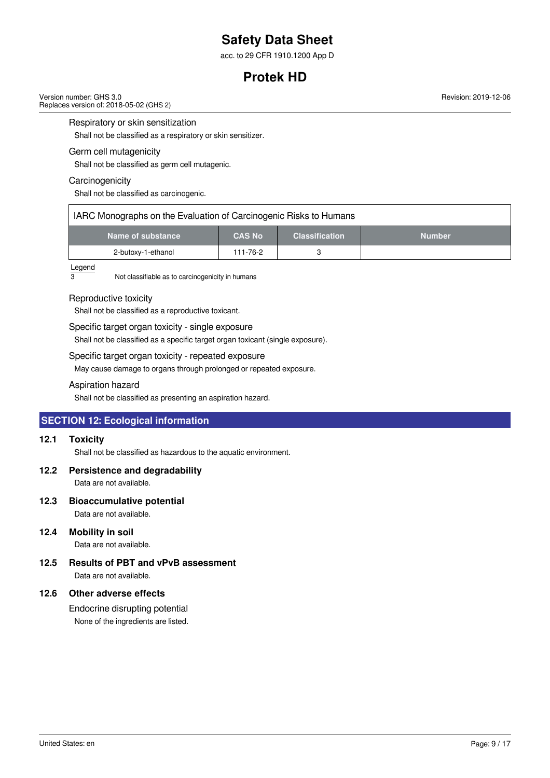acc. to 29 CFR 1910.1200 App D

# **Protek HD**

Version number: GHS 3.0 Replaces version of: 2018-05-02 (GHS 2)

Respiratory or skin sensitization

Shall not be classified as a respiratory or skin sensitizer.

### Germ cell mutagenicity

Shall not be classified as germ cell mutagenic.

#### **Carcinogenicity**

Shall not be classified as carcinogenic.

| IARC Monographs on the Evaluation of Carcinogenic Risks to Humans |               |                       |               |  |  |
|-------------------------------------------------------------------|---------------|-----------------------|---------------|--|--|
| Name of substance                                                 | <b>CAS No</b> | <b>Classification</b> | <b>Number</b> |  |  |
| 2-butoxy-1-ethanol                                                | 111-76-2      |                       |               |  |  |

# $\frac{\text{Legend}}{3}$

Not classifiable as to carcinogenicity in humans

#### Reproductive toxicity

Shall not be classified as a reproductive toxicant.

### Specific target organ toxicity - single exposure

Shall not be classified as a specific target organ toxicant (single exposure).

### Specific target organ toxicity - repeated exposure

May cause damage to organs through prolonged or repeated exposure.

### Aspiration hazard

Shall not be classified as presenting an aspiration hazard.

## **SECTION 12: Ecological information**

### **12.1 Toxicity**

Shall not be classified as hazardous to the aquatic environment.

### **12.2 Persistence and degradability**

Data are not available.

### **12.3 Bioaccumulative potential**

Data are not available.

### **12.4 Mobility in soil**

Data are not available.

# **12.5 Results of PBT and vPvB assessment**

Data are not available.

### **12.6 Other adverse effects**

Endocrine disrupting potential None of the ingredients are listed.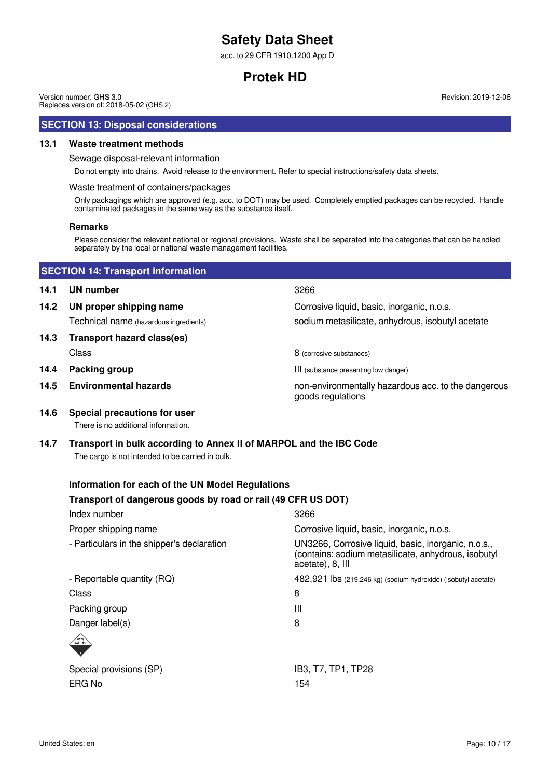acc. to 29 CFR 1910.1200 App D

# **Protek HD**

Version number: GHS 3.0 Replaces version of: 2018-05-02 (GHS 2)

### **SECTION 13: Disposal considerations**

#### **13.1 Waste treatment methods**

Sewage disposal-relevant information

Do not empty into drains. Avoid release to the environment. Refer to special instructions/safety data sheets.

#### Waste treatment of containers/packages

Only packagings which are approved (e.g. acc. to DOT) may be used. Completely emptied packages can be recycled. Handle contaminated packages in the same way as the substance itself.

#### **Remarks**

Please consider the relevant national or regional provisions. Waste shall be separated into the categories that can be handled separately by the local or national waste management facilities.

|      | <b>SECTION 14: Transport information</b> |                                                                          |  |  |  |
|------|------------------------------------------|--------------------------------------------------------------------------|--|--|--|
| 14.1 | <b>UN number</b>                         | 3266                                                                     |  |  |  |
| 14.2 | UN proper shipping name                  | Corrosive liquid, basic, inorganic, n.o.s.                               |  |  |  |
|      | Technical name (hazardous ingredients)   | sodium metasilicate, anhydrous, isobutyl acetate                         |  |  |  |
| 14.3 | Transport hazard class(es)               |                                                                          |  |  |  |
|      | Class                                    | 8 (corrosive substances)                                                 |  |  |  |
| 14.4 | Packing group                            | III (substance presenting low danger)                                    |  |  |  |
| 14.5 | <b>Environmental hazards</b>             | non-environmentally hazardous acc. to the dangerous<br>goods regulations |  |  |  |

**14.6 Special precautions for user** There is no additional information.

# **14.7 Transport in bulk according to Annex II of MARPOL and the IBC Code**

The cargo is not intended to be carried in bulk.

## **Information for each of the UN Model Regulations**

## **Transport of dangerous goods by road or rail (49 CFR US DOT)**

| Index number                               | 3266                                                                                                                           |
|--------------------------------------------|--------------------------------------------------------------------------------------------------------------------------------|
| Proper shipping name                       | Corrosive liquid, basic, inorganic, n.o.s.                                                                                     |
| - Particulars in the shipper's declaration | UN3266, Corrosive liquid, basic, inorganic, n.o.s.,<br>(contains: sodium metasilicate, anhydrous, isobutyl<br>acetate), 8, III |
| - Reportable quantity (RQ)                 | 482,921 lbs (219,246 kg) (sodium hydroxide) (isobutyl acetate)                                                                 |
| Class                                      | 8                                                                                                                              |
| Packing group                              | Ш                                                                                                                              |
| Danger label(s)                            | 8                                                                                                                              |
| $\left\langle -\right\rangle$              |                                                                                                                                |
| Special provisions (SP)                    | IB3, T7, TP1, TP28                                                                                                             |
| ERG No                                     | 154                                                                                                                            |
|                                            |                                                                                                                                |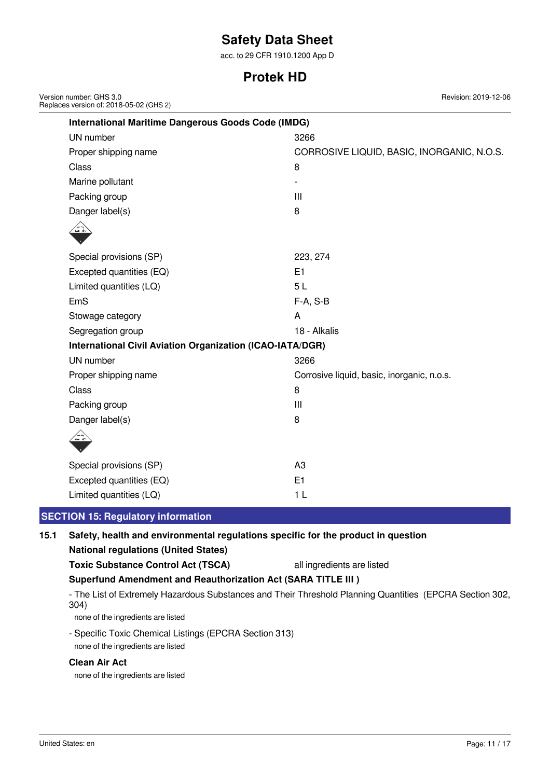acc. to 29 CFR 1910.1200 App D

# **Protek HD**

| Version number: GHS 3.0<br>Replaces version of: 2018-05-02 (GHS 2) | Revision: 2019-12-06                       |  |  |  |  |  |
|--------------------------------------------------------------------|--------------------------------------------|--|--|--|--|--|
| <b>International Maritime Dangerous Goods Code (IMDG)</b>          |                                            |  |  |  |  |  |
| UN number                                                          | 3266                                       |  |  |  |  |  |
| Proper shipping name                                               | CORROSIVE LIQUID, BASIC, INORGANIC, N.O.S. |  |  |  |  |  |
| Class                                                              | 8                                          |  |  |  |  |  |
| Marine pollutant                                                   |                                            |  |  |  |  |  |
| Packing group                                                      | $\mathbf{III}$                             |  |  |  |  |  |
| Danger label(s)                                                    | 8                                          |  |  |  |  |  |
|                                                                    |                                            |  |  |  |  |  |
|                                                                    |                                            |  |  |  |  |  |
| Special provisions (SP)                                            | 223, 274                                   |  |  |  |  |  |
| Excepted quantities (EQ)                                           | E1                                         |  |  |  |  |  |
| Limited quantities (LQ)                                            | 5L                                         |  |  |  |  |  |
| EmS                                                                | $F-A, S-B$                                 |  |  |  |  |  |
| Stowage category                                                   | A                                          |  |  |  |  |  |
| Segregation group                                                  | 18 - Alkalis                               |  |  |  |  |  |
| <b>International Civil Aviation Organization (ICAO-IATA/DGR)</b>   |                                            |  |  |  |  |  |
| UN number                                                          | 3266                                       |  |  |  |  |  |
| Proper shipping name                                               | Corrosive liquid, basic, inorganic, n.o.s. |  |  |  |  |  |
| Class                                                              | 8                                          |  |  |  |  |  |
| Packing group                                                      | $\mathbf{III}$                             |  |  |  |  |  |
| Danger label(s)                                                    | 8                                          |  |  |  |  |  |
| والمشر                                                             |                                            |  |  |  |  |  |
| Special provisions (SP)                                            | A <sub>3</sub>                             |  |  |  |  |  |
| Excepted quantities (EQ)                                           | E <sub>1</sub>                             |  |  |  |  |  |
| Limited quantities (LQ)                                            | 1 <sub>L</sub>                             |  |  |  |  |  |
|                                                                    |                                            |  |  |  |  |  |

## **SECTION 15: Regulatory information**

## **15.1 Safety, health and environmental regulations specific for the product in question**

| <b>National regulations (United States)</b> |  |
|---------------------------------------------|--|
|                                             |  |

**Toxic Substance Control Act (TSCA)** all ingredients are listed

**Superfund Amendment and Reauthorization Act (SARA TITLE III )**

- The List of Extremely Hazardous Substances and Their Threshold Planning Quantities (EPCRA Section 302, 304)

none of the ingredients are listed

- Specific Toxic Chemical Listings (EPCRA Section 313)

none of the ingredients are listed

# **Clean Air Act**

none of the ingredients are listed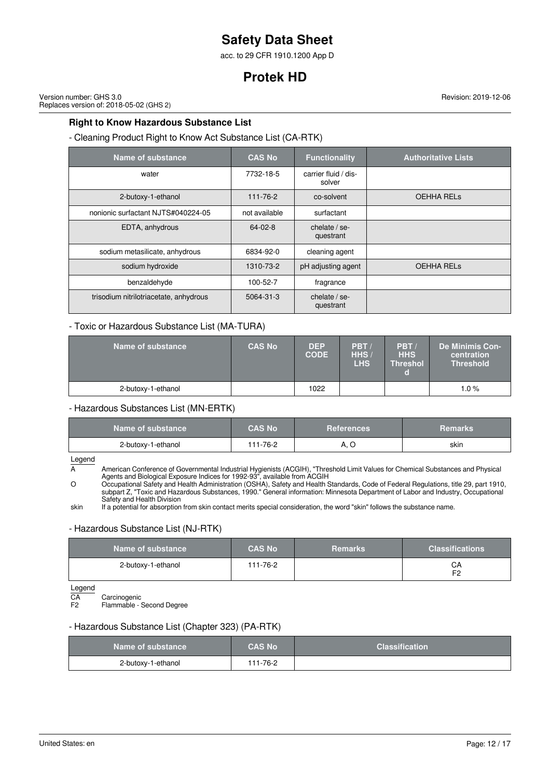acc. to 29 CFR 1910.1200 App D

# **Protek HD**

Version number: GHS 3.0 Replaces version of: 2018-05-02 (GHS 2)

**Right to Know Hazardous Substance List**

- Cleaning Product Right to Know Act Substance List (CA-RTK)

| Name of substance                      | <b>CAS No</b> | <b>Functionality</b>           | <b>Authoritative Lists</b> |
|----------------------------------------|---------------|--------------------------------|----------------------------|
| water                                  | 7732-18-5     | carrier fluid / dis-<br>solver |                            |
| 2-butoxy-1-ethanol                     | 111-76-2      | co-solvent                     | <b>OEHHA RELS</b>          |
| nonionic surfactant NJTS#040224-05     | not available | surfactant                     |                            |
| EDTA, anhydrous                        | $64 - 02 - 8$ | chelate $/$ se-<br>questrant   |                            |
| sodium metasilicate, anhydrous         | 6834-92-0     | cleaning agent                 |                            |
| sodium hydroxide                       | 1310-73-2     | pH adjusting agent             | <b>OEHHA RELS</b>          |
| benzaldehyde                           | 100-52-7      | fragrance                      |                            |
| trisodium nitrilotriacetate, anhydrous | 5064-31-3     | chelate / se-<br>questrant     |                            |

## - Toxic or Hazardous Substance List (MA-TURA)

| Name of substance  | <b>CAS No</b> | <b>DEP</b><br><b>CODE</b> | PBT/<br>HHS/<br>LHS | PBT/<br><b>HHS</b><br><b>Threshol</b> | De Minimis Con-<br>centration<br><b>Threshold</b> |
|--------------------|---------------|---------------------------|---------------------|---------------------------------------|---------------------------------------------------|
| 2-butoxy-1-ethanol |               | 1022                      |                     |                                       | 1.0%                                              |

- Hazardous Substances List (MN-ERTK)

| Name of substance  | <b>CAS No</b> | <b>References</b> | <b>Remarks</b> |
|--------------------|---------------|-------------------|----------------|
| 2-butoxy-1-ethanol | 111-76-2      | A. C              | skin           |

Legend

A American Conference of Governmental Industrial Hygienists (ACGIH), "Threshold Limit Values for Chemical Substances and Physical Agents and Biological Exposure Indices for 1992-93", available from ACGIH

O Occupational Safety and Health Administration (OSHA), Safety and Health Standards, Code of Federal Regulations, title 29, part 1910, subpart Z, "Toxic and Hazardous Substances, 1990." General information: Minnesota Department of Labor and Industry, Occupational Safety and Health Division

skin If a potential for absorption from skin contact merits special consideration, the word "skin" follows the substance name.

### - Hazardous Substance List (NJ-RTK)

| Name of substance  | <b>CAS No</b> | <b>Remarks</b> | <b>Classifications</b> |
|--------------------|---------------|----------------|------------------------|
| 2-butoxy-1-ethanol | 111-76-2      |                | CА<br>口つ               |

Legend<br>CA<br>F2 CA Carcinogenic F2 Flammable - Second Degree

### - Hazardous Substance List (Chapter 323) (PA-RTK)

| Name of substance  | <b>CAS No</b> | <b>Classification</b> |
|--------------------|---------------|-----------------------|
| 2-butoxy-1-ethanol | 111-76-2      |                       |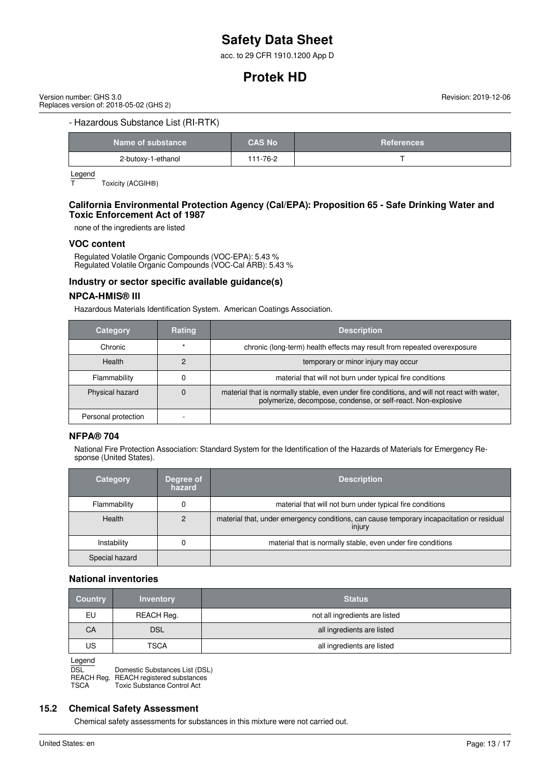acc. to 29 CFR 1910.1200 App D

# **Protek HD**

Version number: GHS 3.0 Replaces version of: 2018-05-02 (GHS 2) Revision: 2019-12-06

### - Hazardous Substance List (RI-RTK)

| Name of substance  | <b>CAS No</b> | <b>References</b> |
|--------------------|---------------|-------------------|
| 2-butoxy-1-ethanol | $11 - 76 - 2$ |                   |

 $\frac{\text{Legend}}{\text{T}}$ 

Toxicity (ACGIH®)

### **California Environmental Protection Agency (Cal/EPA): Proposition 65 - Safe Drinking Water and Toxic Enforcement Act of 1987**

none of the ingredients are listed

#### **VOC content**

Regulated Volatile Organic Compounds (VOC-EPA): 5.43 % Regulated Volatile Organic Compounds (VOC-Cal ARB): 5.43 %

### **Industry or sector specific available guidance(s)**

#### **NPCA-HMIS® III**

Hazardous Materials Identification System. American Coatings Association.

| <b>Category</b>     | Rating | <b>Description</b>                                                                                                                                            |
|---------------------|--------|---------------------------------------------------------------------------------------------------------------------------------------------------------------|
| Chronic             |        | chronic (long-term) health effects may result from repeated overexposure                                                                                      |
| Health              |        | temporary or minor injury may occur                                                                                                                           |
| Flammability        |        | material that will not burn under typical fire conditions                                                                                                     |
| Physical hazard     |        | material that is normally stable, even under fire conditions, and will not react with water,<br>polymerize, decompose, condense, or self-react. Non-explosive |
| Personal protection |        |                                                                                                                                                               |

### **NFPA® 704**

National Fire Protection Association: Standard System for the Identification of the Hazards of Materials for Emergency Response (United States).

| Category       | Degree of<br>hazard | <b>Description</b>                                                                                  |
|----------------|---------------------|-----------------------------------------------------------------------------------------------------|
| Flammability   |                     | material that will not burn under typical fire conditions                                           |
| <b>Health</b>  | っ                   | material that, under emergency conditions, can cause temporary incapacitation or residual<br>injury |
| Instability    |                     | material that is normally stable, even under fire conditions                                        |
| Special hazard |                     |                                                                                                     |

### **National inventories**

| <b>Country</b> | <b>Inventory</b> | <b>Status</b>                  |
|----------------|------------------|--------------------------------|
| EU             | REACH Reg.       | not all ingredients are listed |
| CA             | <b>DSL</b>       | all ingredients are listed     |
| US             | <b>TSCA</b>      | all ingredients are listed     |

Legend

DSL Domestic Substances List (DSL)<br>REACH Req. REACH registered substances REACH registered substances

TSCA Toxic Substance Control Act

#### **15.2 Chemical Safety Assessment**

Chemical safety assessments for substances in this mixture were not carried out.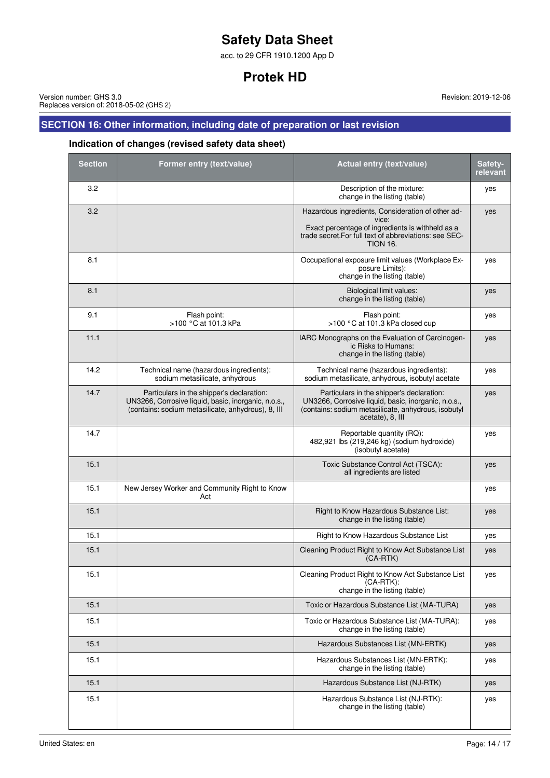acc. to 29 CFR 1910.1200 App D

# **Protek HD**

Version number: GHS 3.0 Replaces version of: 2018-05-02 (GHS 2)

# **SECTION 16: Other information, including date of preparation or last revision**

# **Indication of changes (revised safety data sheet)**

| <b>Section</b> | Former entry (text/value)                                                                                                                              | Actual entry (text/value)                                                                                                                                                                   | Safety-<br>relevant |
|----------------|--------------------------------------------------------------------------------------------------------------------------------------------------------|---------------------------------------------------------------------------------------------------------------------------------------------------------------------------------------------|---------------------|
| 3.2            |                                                                                                                                                        | Description of the mixture:<br>change in the listing (table)                                                                                                                                | yes                 |
| 3.2            |                                                                                                                                                        | Hazardous ingredients, Consideration of other ad-<br>vice:<br>Exact percentage of ingredients is withheld as a<br>trade secret. For full text of abbreviations: see SEC-<br><b>TION 16.</b> | yes                 |
| 8.1            |                                                                                                                                                        | Occupational exposure limit values (Workplace Ex-<br>posure Limits):<br>change in the listing (table)                                                                                       | yes                 |
| 8.1            |                                                                                                                                                        | Biological limit values:<br>change in the listing (table)                                                                                                                                   | yes                 |
| 9.1            | Flash point:<br>>100 °C at 101.3 kPa                                                                                                                   | Flash point:<br>>100 °C at 101.3 kPa closed cup                                                                                                                                             | yes                 |
| 11.1           |                                                                                                                                                        | IARC Monographs on the Evaluation of Carcinogen-<br>ic Risks to Humans:<br>change in the listing (table)                                                                                    | yes                 |
| 14.2           | Technical name (hazardous ingredients):<br>sodium metasilicate, anhydrous                                                                              | Technical name (hazardous ingredients):<br>sodium metasilicate, anhydrous, isobutyl acetate                                                                                                 | yes                 |
| 14.7           | Particulars in the shipper's declaration:<br>UN3266, Corrosive liquid, basic, inorganic, n.o.s.,<br>(contains: sodium metasilicate, anhydrous), 8, III | Particulars in the shipper's declaration:<br>UN3266, Corrosive liquid, basic, inorganic, n.o.s.,<br>(contains: sodium metasilicate, anhydrous, isobutyl<br>acetate), 8, III                 | yes                 |
| 14.7           |                                                                                                                                                        | Reportable quantity (RQ):<br>482,921 lbs (219,246 kg) (sodium hydroxide)<br>(isobutyl acetate)                                                                                              | yes                 |
| 15.1           |                                                                                                                                                        | Toxic Substance Control Act (TSCA):<br>all ingredients are listed                                                                                                                           | yes                 |
| 15.1           | New Jersey Worker and Community Right to Know<br>Act                                                                                                   |                                                                                                                                                                                             | yes                 |
| 15.1           |                                                                                                                                                        | Right to Know Hazardous Substance List:<br>change in the listing (table)                                                                                                                    | yes                 |
| 15.1           |                                                                                                                                                        | Right to Know Hazardous Substance List                                                                                                                                                      | yes                 |
| 15.1           |                                                                                                                                                        | Cleaning Product Right to Know Act Substance List<br>$(CA-RTK)$                                                                                                                             | yes                 |
| 15.1           |                                                                                                                                                        | Cleaning Product Right to Know Act Substance List<br>(CA-RTK):<br>change in the listing (table)                                                                                             | yes                 |
| 15.1           |                                                                                                                                                        | Toxic or Hazardous Substance List (MA-TURA)                                                                                                                                                 | yes                 |
| 15.1           |                                                                                                                                                        | Toxic or Hazardous Substance List (MA-TURA):<br>change in the listing (table)                                                                                                               | yes                 |
| 15.1           |                                                                                                                                                        | Hazardous Substances List (MN-ERTK)                                                                                                                                                         | yes                 |
| 15.1           |                                                                                                                                                        | Hazardous Substances List (MN-ERTK):<br>change in the listing (table)                                                                                                                       | yes                 |
| 15.1           |                                                                                                                                                        | Hazardous Substance List (NJ-RTK)                                                                                                                                                           | yes                 |
| 15.1           |                                                                                                                                                        | Hazardous Substance List (NJ-RTK):<br>change in the listing (table)                                                                                                                         | yes                 |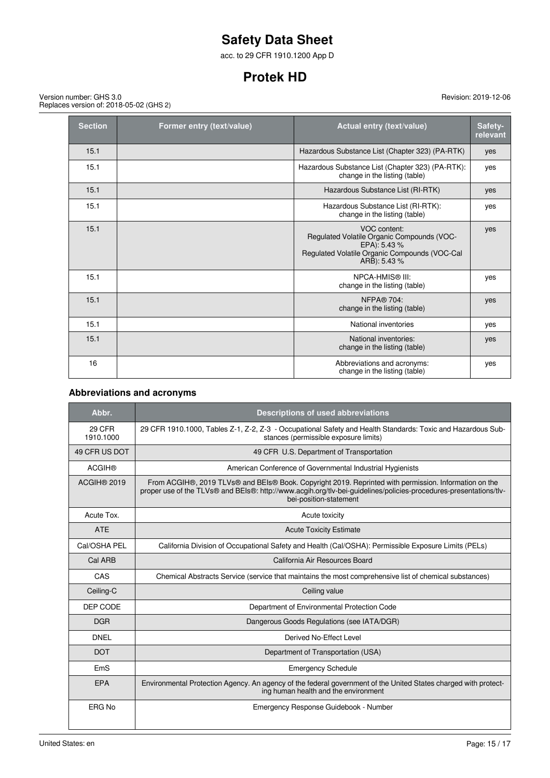acc. to 29 CFR 1910.1200 App D

# **Protek HD**

Version number: GHS 3.0 Replaces version of: 2018-05-02 (GHS 2)

| <b>Section</b> | Former entry (text/value) | <b>Actual entry (text/value)</b>                                                                                                            | Safety-<br>relevant |
|----------------|---------------------------|---------------------------------------------------------------------------------------------------------------------------------------------|---------------------|
| 15.1           |                           | Hazardous Substance List (Chapter 323) (PA-RTK)                                                                                             | yes                 |
| 15.1           |                           | Hazardous Substance List (Chapter 323) (PA-RTK):<br>change in the listing (table)                                                           | yes                 |
| 15.1           |                           | Hazardous Substance List (RI-RTK)                                                                                                           | yes                 |
| 15.1           |                           | Hazardous Substance List (RI-RTK):<br>change in the listing (table)                                                                         | yes                 |
| 15.1           |                           | VOC content:<br>Regulated Volatile Organic Compounds (VOC-<br>EPA): 5.43 %<br>Regulated Volatile Organic Compounds (VOC-Cal<br>ARB): 5.43 % | yes                 |
| 15.1           |                           | <b>NPCA-HMIS® III:</b><br>change in the listing (table)                                                                                     | yes                 |
| 15.1           |                           | <b>NFPA® 704:</b><br>change in the listing (table)                                                                                          | yes                 |
| 15.1           |                           | National inventories                                                                                                                        | yes                 |
| 15.1           |                           | National inventories:<br>change in the listing (table)                                                                                      | yes                 |
| 16             |                           | Abbreviations and acronyms:<br>change in the listing (table)                                                                                | yes                 |

## **Abbreviations and acronyms**

| Abbr.               | <b>Descriptions of used abbreviations</b>                                                                                                                                                                                                            |
|---------------------|------------------------------------------------------------------------------------------------------------------------------------------------------------------------------------------------------------------------------------------------------|
| 29 CFR<br>1910.1000 | 29 CFR 1910.1000, Tables Z-1, Z-2, Z-3 - Occupational Safety and Health Standards: Toxic and Hazardous Sub-<br>stances (permissible exposure limits)                                                                                                 |
| 49 CFR US DOT       | 49 CFR U.S. Department of Transportation                                                                                                                                                                                                             |
| <b>ACGIH®</b>       | American Conference of Governmental Industrial Hygienists                                                                                                                                                                                            |
| ACGIH® 2019         | From ACGIH®, 2019 TLVs® and BEIs® Book. Copyright 2019. Reprinted with permission. Information on the<br>proper use of the TLVs® and BEIs®: http://www.acgih.org/tlv-bei-guidelines/policies-procedures-presentations/tlv-<br>bei-position-statement |
| Acute Tox.          | Acute toxicity                                                                                                                                                                                                                                       |
| <b>ATE</b>          | <b>Acute Toxicity Estimate</b>                                                                                                                                                                                                                       |
| Cal/OSHA PEL        | California Division of Occupational Safety and Health (Cal/OSHA): Permissible Exposure Limits (PELs)                                                                                                                                                 |
| Cal ARB             | California Air Resources Board                                                                                                                                                                                                                       |
| CAS                 | Chemical Abstracts Service (service that maintains the most comprehensive list of chemical substances)                                                                                                                                               |
| Ceiling-C           | Ceiling value                                                                                                                                                                                                                                        |
| DEP CODE            | Department of Environmental Protection Code                                                                                                                                                                                                          |
| <b>DGR</b>          | Dangerous Goods Regulations (see IATA/DGR)                                                                                                                                                                                                           |
| <b>DNEL</b>         | Derived No-Effect Level                                                                                                                                                                                                                              |
| <b>DOT</b>          | Department of Transportation (USA)                                                                                                                                                                                                                   |
| EmS                 | <b>Emergency Schedule</b>                                                                                                                                                                                                                            |
| EPA                 | Environmental Protection Agency. An agency of the federal government of the United States charged with protect-<br>ing human health and the environment                                                                                              |
| ERG No              | Emergency Response Guidebook - Number                                                                                                                                                                                                                |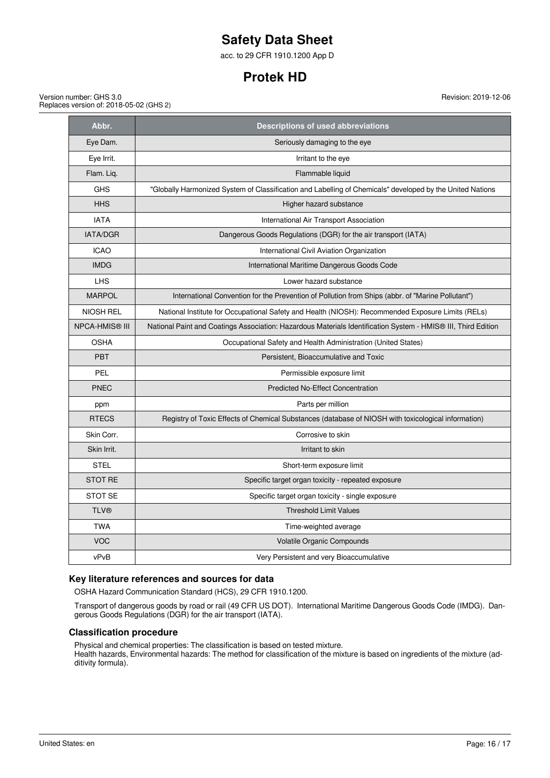acc. to 29 CFR 1910.1200 App D

# **Protek HD**

Version number: GHS 3.0 Replaces version of: 2018-05-02 (GHS 2) Revision: 2019-12-06

| Abbr.                 | <b>Descriptions of used abbreviations</b>                                                                     |
|-----------------------|---------------------------------------------------------------------------------------------------------------|
| Eye Dam.              | Seriously damaging to the eye                                                                                 |
| Eye Irrit.            | Irritant to the eye                                                                                           |
| Flam. Liq.            | Flammable liquid                                                                                              |
| <b>GHS</b>            | "Globally Harmonized System of Classification and Labelling of Chemicals" developed by the United Nations     |
| <b>HHS</b>            | Higher hazard substance                                                                                       |
| <b>IATA</b>           | International Air Transport Association                                                                       |
| <b>IATA/DGR</b>       | Dangerous Goods Regulations (DGR) for the air transport (IATA)                                                |
| <b>ICAO</b>           | International Civil Aviation Organization                                                                     |
| <b>IMDG</b>           | International Maritime Dangerous Goods Code                                                                   |
| <b>LHS</b>            | Lower hazard substance                                                                                        |
| <b>MARPOL</b>         | International Convention for the Prevention of Pollution from Ships (abbr. of "Marine Pollutant")             |
| <b>NIOSH REL</b>      | National Institute for Occupational Safety and Health (NIOSH): Recommended Exposure Limits (RELs)             |
| <b>NPCA-HMIS® III</b> | National Paint and Coatings Association: Hazardous Materials Identification System - HMIS® III, Third Edition |
| <b>OSHA</b>           | Occupational Safety and Health Administration (United States)                                                 |
| <b>PBT</b>            | Persistent, Bioaccumulative and Toxic                                                                         |
| PEL                   | Permissible exposure limit                                                                                    |
| <b>PNEC</b>           | <b>Predicted No-Effect Concentration</b>                                                                      |
| ppm                   | Parts per million                                                                                             |
| <b>RTECS</b>          | Registry of Toxic Effects of Chemical Substances (database of NIOSH with toxicological information)           |
| Skin Corr.            | Corrosive to skin                                                                                             |
| Skin Irrit.           | Irritant to skin                                                                                              |
| <b>STEL</b>           | Short-term exposure limit                                                                                     |
| <b>STOT RE</b>        | Specific target organ toxicity - repeated exposure                                                            |
| STOT SE               | Specific target organ toxicity - single exposure                                                              |
| <b>TLV®</b>           | <b>Threshold Limit Values</b>                                                                                 |
| <b>TWA</b>            | Time-weighted average                                                                                         |
| <b>VOC</b>            | Volatile Organic Compounds                                                                                    |
| vPvB                  | Very Persistent and very Bioaccumulative                                                                      |

## **Key literature references and sources for data**

OSHA Hazard Communication Standard (HCS), 29 CFR 1910.1200.

Transport of dangerous goods by road or rail (49 CFR US DOT). International Maritime Dangerous Goods Code (IMDG). Dangerous Goods Regulations (DGR) for the air transport (IATA).

### **Classification procedure**

Physical and chemical properties: The classification is based on tested mixture.

Health hazards, Environmental hazards: The method for classification of the mixture is based on ingredients of the mixture (additivity formula).